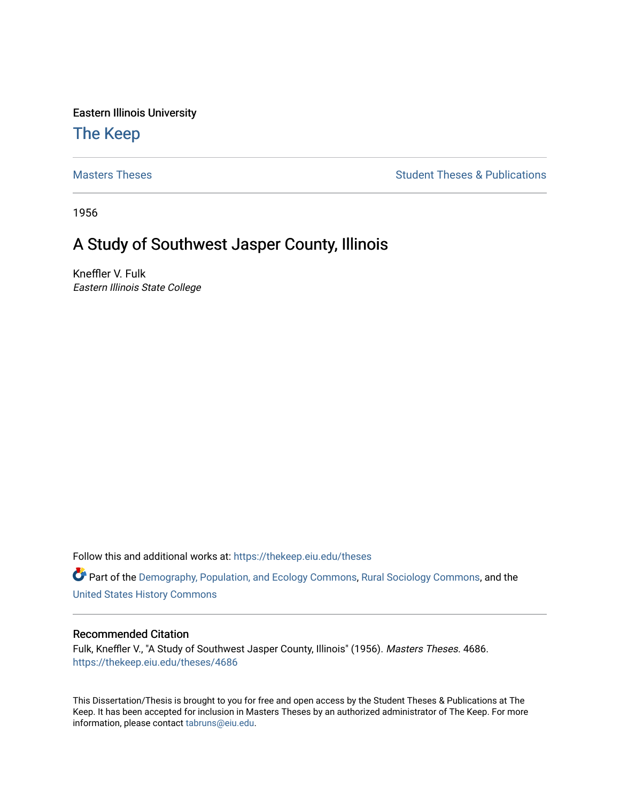Eastern Illinois University

## [The Keep](https://thekeep.eiu.edu/)

[Masters Theses](https://thekeep.eiu.edu/theses) **Student Theses & Publications** Student Theses & Publications

1956

# A Study of Southwest Jasper County, Illinois

Kneffler V. Fulk Eastern Illinois State College

Follow this and additional works at: [https://thekeep.eiu.edu/theses](https://thekeep.eiu.edu/theses?utm_source=thekeep.eiu.edu%2Ftheses%2F4686&utm_medium=PDF&utm_campaign=PDFCoverPages)

Part of the [Demography, Population, and Ecology Commons,](http://network.bepress.com/hgg/discipline/418?utm_source=thekeep.eiu.edu%2Ftheses%2F4686&utm_medium=PDF&utm_campaign=PDFCoverPages) [Rural Sociology Commons](http://network.bepress.com/hgg/discipline/428?utm_source=thekeep.eiu.edu%2Ftheses%2F4686&utm_medium=PDF&utm_campaign=PDFCoverPages), and the [United States History Commons](http://network.bepress.com/hgg/discipline/495?utm_source=thekeep.eiu.edu%2Ftheses%2F4686&utm_medium=PDF&utm_campaign=PDFCoverPages)

## Recommended Citation

Fulk, Kneffler V., "A Study of Southwest Jasper County, Illinois" (1956). Masters Theses. 4686. [https://thekeep.eiu.edu/theses/4686](https://thekeep.eiu.edu/theses/4686?utm_source=thekeep.eiu.edu%2Ftheses%2F4686&utm_medium=PDF&utm_campaign=PDFCoverPages) 

This Dissertation/Thesis is brought to you for free and open access by the Student Theses & Publications at The Keep. It has been accepted for inclusion in Masters Theses by an authorized administrator of The Keep. For more information, please contact [tabruns@eiu.edu](mailto:tabruns@eiu.edu).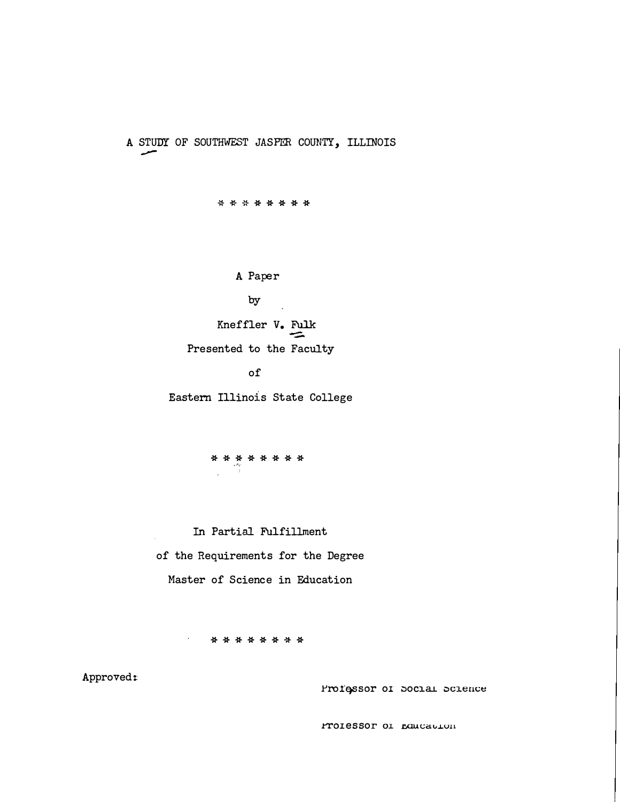A STUDY OF SOUTHWEST JASPER COUNTY, ILLINOIS

--

\*\* -\*\*\*\*\*\*

A Paper

by

Kneffler V. Fulk Presented to the Faculty

of

Eastern Illinois State College

\*\*\*\*\*\*\*\* ,J�

In Partial Fulfillment of the Requirements for the Degree Master of Science in Education

\*\*\*\*\*\* -\*\*

Approved:

Pro1essor of Social Science

rolessor of rancaulon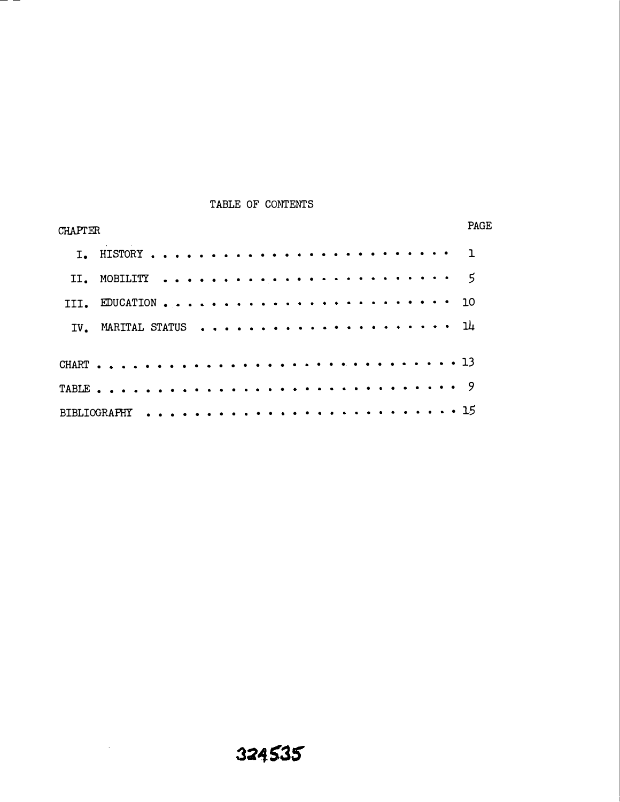## TABLE OF CONTENTS

and the control

| <b>CHAPTER</b> | <b>PAGE</b> |
|----------------|-------------|
|                |             |
|                |             |
|                |             |
|                |             |
|                |             |
|                |             |
|                |             |
|                |             |

 $\sim 10^7$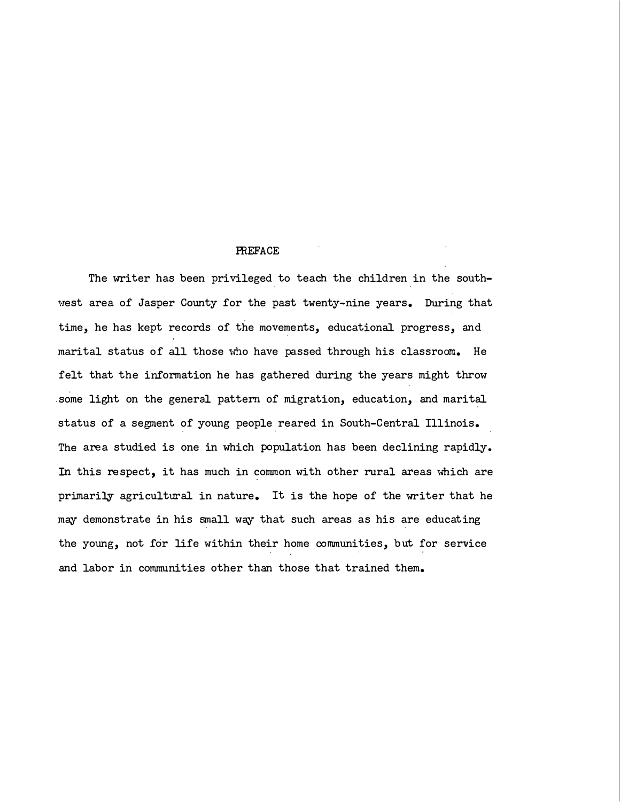#### **PREFACE**

The writer has been privileged to teach the children in the southwest area of Jasper County for the past twenty-nine years. During that time, he has kept records of the movements, educational progress, and marital status of all those who have passed through his classroom. He felt that the information he has gathered during the years might throw .some light on the general pattern of migration, education, and marital status of a segment of young people reared in South-Central Illinois. The area studied is one in which population has been declining rapidly. In this respect, it has much in common with other rural areas which are primarily agricultural in nature. It is the hope of the writer that he may demonstrate in his small way that such areas as his are educating the young, not for life within their home communities, but for service and labor in communities other than those that trained them.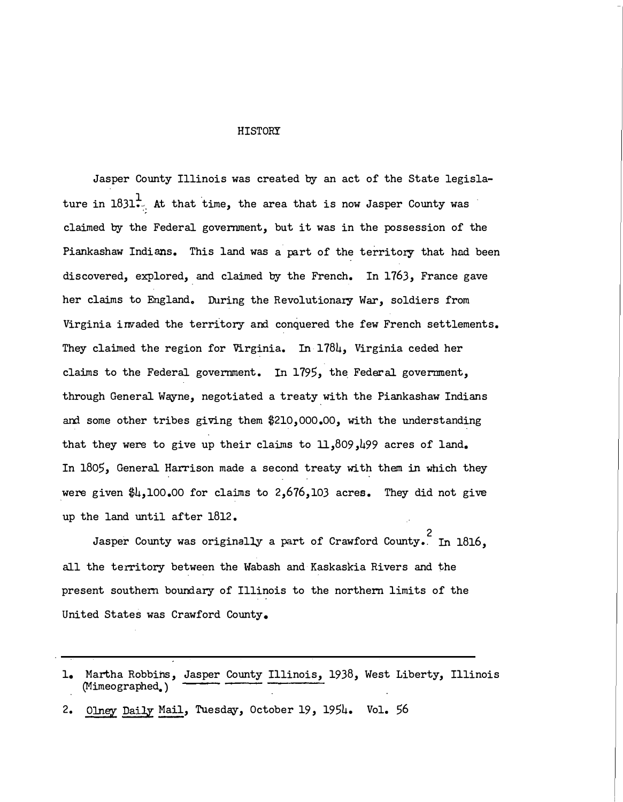#### HISTORY

Jasper County Illinois was created by an act of the State legislature in  $1831<sup>1</sup>$ . At that time, the area that is now Jasper County was claimed by the Federal government, but it was in the possession of the Piankashaw Indians. This land was a part of the territory that had been discovered, explored, and claimed by the French. In 1763, France gave her claims to England. During the Revolutionary War, soldiers from Virginia invaded the territory and conquered the few French settlements. They claimed the region for Virginia. In  $178\mu$ , Virginia ceded her claims to the Federal government. In 1795, the Federal government, through General Wayne, negotiated a treaty with the Piankashaw Indians and some other tribes giving them \$210, 000.00, with the understanding that they were to give up their claims to  $11,809,199$  acres of land. In 1805, General Harrison made a second treaty with them in which they were given  $\frac{1}{4}$ , 100.00 for claims to 2,676,103 acres. They did not give up the land until after 1812.

Jasper County was originally a part of Crawford County. In 1816, all the territory between the Wabash and Kaskaskia Rivers and the present southern boundary of Illinois to the northern limits of the United States was Crawford County.

<sup>1.</sup> Martha Robbins, Jasper County Illinois, 1938, West Liberty, Illinois (Mimeographed.)

<sup>2.</sup> Olney Daily Mail, Tuesday, October 19, 1954. Vol. 56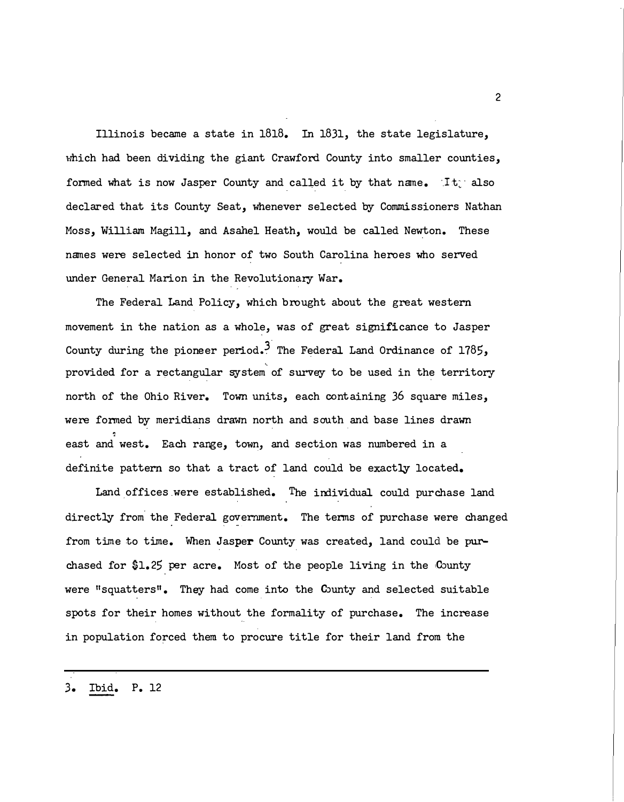Illinois became a state in 1818. In 1831, the state legislature, which had been dividing the giant Crawford County into smaller counties, formed what is now Jasper County and called it by that name.  $\exists t$  also declared that its County Seat, 'Whenever selected by Commissioners Nathan Moss, William Magill, and Asahel Heath, would be called Newton. These names were selected in honor of two South Carolina heroes who served under General Marion in the Revolutionary War.

The Federal Land Policy, which brought about the great western movement in the nation as a whole, was of great significance to Jasper County during the pioneer period.<sup>3</sup> The Federal Land Ordinance of 1785, provided for a rectangular system of survey to be used in the territory north of the Ohio River. Town units, each containing 36 square miles, were formed by meridians drawn north and south and base lines drawn ' east and west. Each range, town, and section was numbered in a definite pattern so that a tract of land could be exactly located.

Land offices were established. The individual could purchase land directly from the Federal government. The terms of purchase were changed from time to time. When Jasper County was created, land could be purchased for  $1.25$  per acre. Most of the people living in the County were "squatters". They had come into the County and selected suitable spots for their homes without the formality of purchase. The increase in population forced them to procure title for their land from the

3. Ibid. P. 12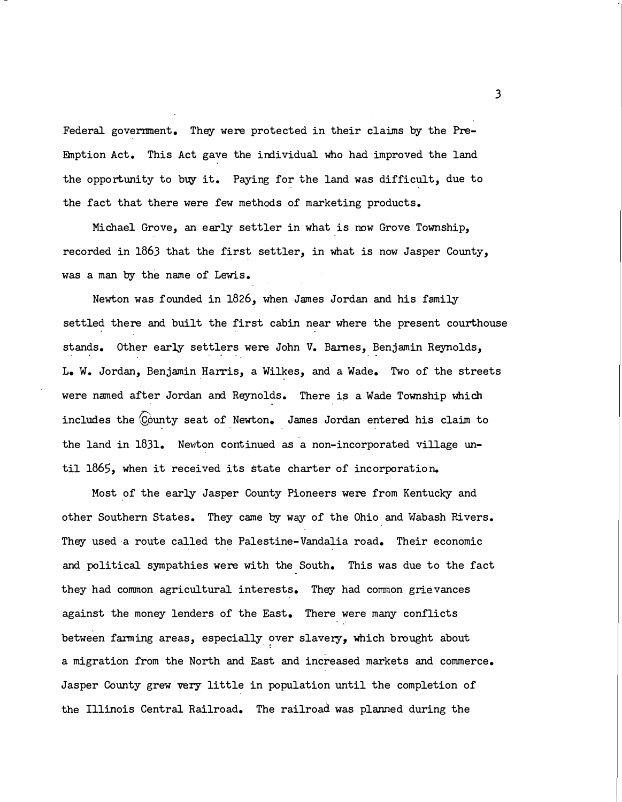Federal government. They were protected in their claims by the Pre-Emption Act. This Act gave the individual who had improved the land the opportunity to buy it. Paying for the land was difficult, due to the fact that there were few methods of marketing products.

Michael Grove, an early settler in what is now Grove Township, recorded in 1863 that the first settler, in what is now Jasper County, was a man by the name of Lewis.

Newton was founded in 1826, when James Jordan and his family settled there and built the first cabin near where the present courthouse stands. Other early settlers were John V. Barnes, Benjamin Reynolds, L. W. Jordan, Benjamin Harris, a Wilkes, and a Wade. Two of the streets were named after Jordan and Reynolds. There is a Wade Township which includes the County seat of Newton. James Jordan entered his claim to the land in 1831. Newton continued as a non-incorporated village until 1865, when it received its state charter of incorporation.

Most of the early Jasper County Pioneers were from Kentucky and other Southern States. They came by way of the Ohio and Wabash Rivers. They used·a route called the Palestine-Vandalia road. Their economic and political sympathies were with the South. This was due to the fact they had common agricultural interests. They had common grie.vances against the money lenders of the East. There were many conflicts between farming areas, especially over slavery, which brought about a migration from the North and East and increased markets and commerce. Jasper County grew very little in population until the completion of the Illinois Central Railroad. The railroad was planned during the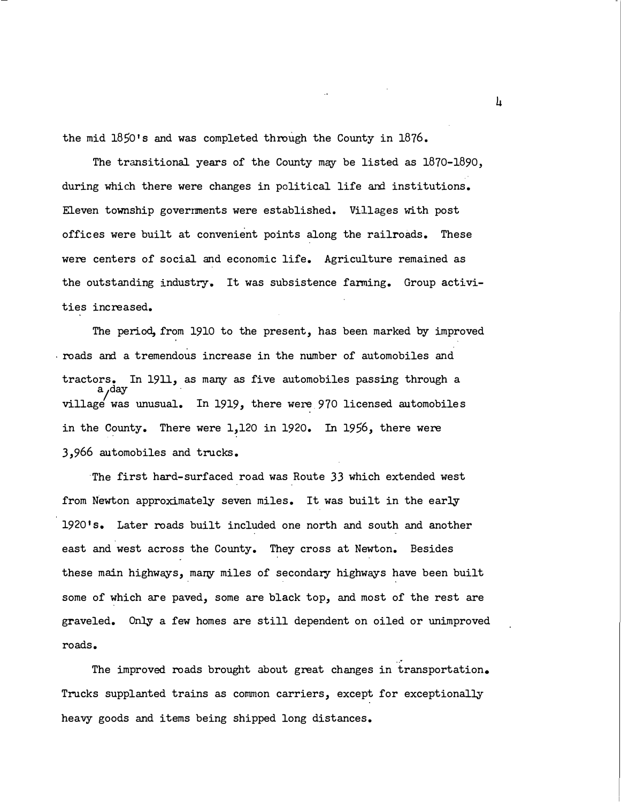the mid 1850's and was completed through the County in 1876.

The transitional years of the County may be listed as 1870-1890, during which there were changes in political life and institutions. Eleven township governments were established. Villages with post offices were built at convenient points along the railroads. These were centers of social and economic life. Agriculture remained as the outstanding industry. It was subsistence farming. Group activities increased.

The period, from 1910 to the present, has been marked by improved . roads and a tremendous increase in the number of automobiles and tractors. In 1911, as many as five automobiles passing through a<br>a,day village was unusual. In 1919, there were 970 licensed automobiles in the County. There were 1,120 in 1920. In 1956, there were 3,966 automobiles and trucks.

The first hard-surfaced road was Route 33 which extended west from Newton approximately seven miles. It was built in the early 19201s. Later roads built included one north and south and another east and west across the County. They cross at Newton. Besides these main highways, many miles of secondary highways have been built some of which are paved, some are black top, and most of the rest are graveled. Only a few homes are still dependent on oiled or unimproved roads.

The improved roads brought about great changes in transportation. Trucks supplanted trains as common carriers, except for exceptionally heavy goods and items being shipped long distances.

 $\frac{1}{4}$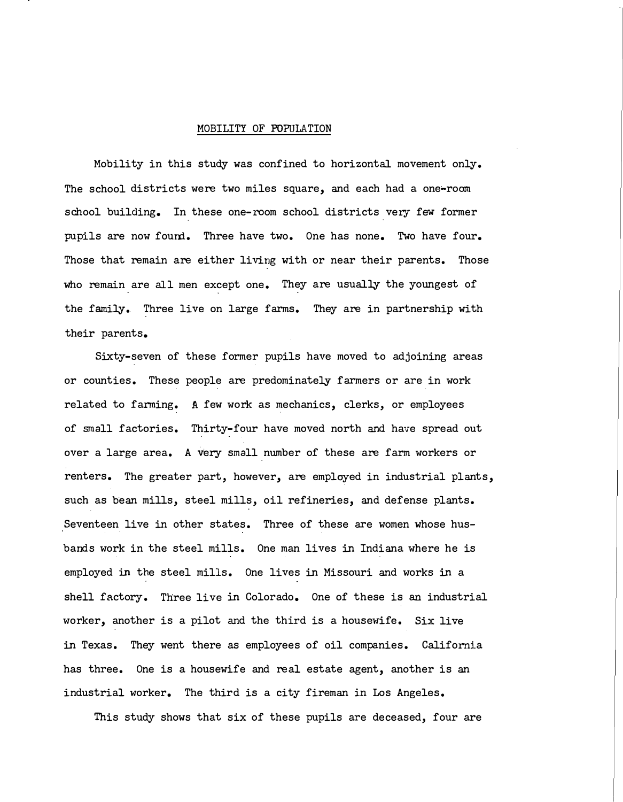#### MOBILITY OF POPULATION

Mobility in this study was confined to horizontal movement only. The school districts were two miles square, and each had a one-room school building. In these one-room school districts very few former pupils are now found. Three have two. One has none. Two have four. Those that remain are either living with or near their parents. Those who remain are all men except one. They are usually the youngest of the family. Three live on large farms. They are in partnership with their parents.

Sixty-seven of these former pupils have moved to adjoining areas or counties. These people are predominately farmers or are in work related to farming. A few work as mechanics, clerks, or employees of small factories. Thirty-four have moved north and have spread out over a large area. A very small number of these are farm workers or renters. The greater part, however, are employed in industrial plants, such as bean mills, steel mills, oil refineries, and defense plants. Seventeen live in other states. Three of these are women whose husbands work in the steel mills. One man lives in Indiana where he is employed in the steel mills. One lives in Missouri and works in a shell factory. Three live in Colorado. One of these is an industrial worker, another is a pilot and the third is a housewife. Six live in Texas. They went there as employees of oil companies. California has three. One is a housewife and real estate agent, another is an industrial worker. The third is a city fireman in Los Angeles.

This study shows that six of these pupils are deceased, four are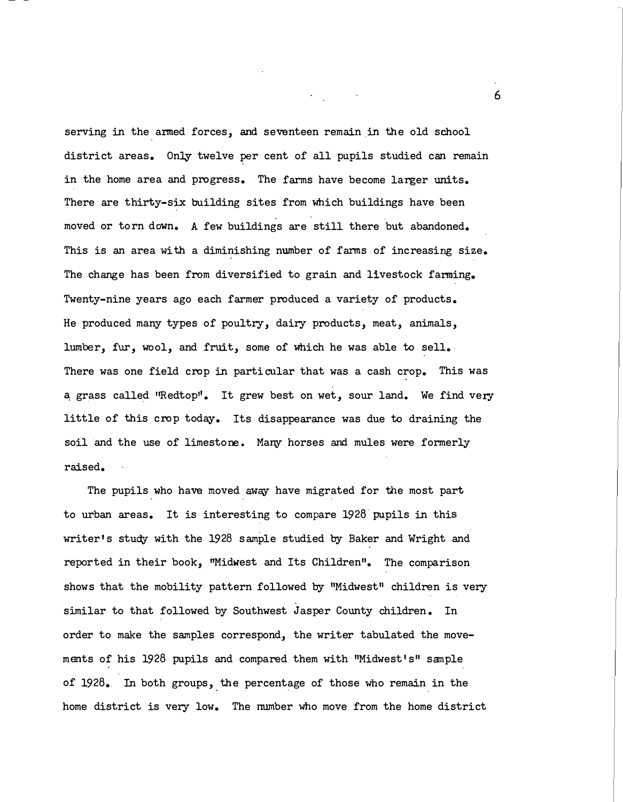serving in the anned forces, and seventeen remain in the old school district areas. Only twelve per cent of all pupils studied can remain in the home area and progress. The farms have become larger units. There are thirty-six building sites from which buildings have been moved or torn down. A few buildings are still there but abandoned. This is an area with a diminishing number of farms of increasing size. The change has been from diversified to grain and livestock fanning. Twenty-nine years ago each farmer produced a variety of products. He produced many types of poultry, dairy products, meat, animals, lumber, fur, wool, and fruit, some of which he was able to sell. There was one field crop in particular that was a cash crop. This was a grass called "Redtop". It grew best on wet, sour land. We find very little of this crop today. Its disappearance was due to draining the soil and the use of limestone. Many horses and mules were formerly raised.

The pupils who have moved away have migrated for the most part to urban areas. It is interesting to compare 1928 pupils in thiS writer's study with the 1928 sample studied by Baker and Wright and reported in their book, "Midwest and Its Children". The comparison shows that the mobility pattern followed by "Midwest" children is very similar to that followed by Southwest Jasper County children. In order to make the samples correspond, the writer tabulated the movements of his 1928 pupils and compared them with "Midwest's" sample of 1928. In both groups, the percentage of those who remain in the - . home district is very low. The number who move from the home district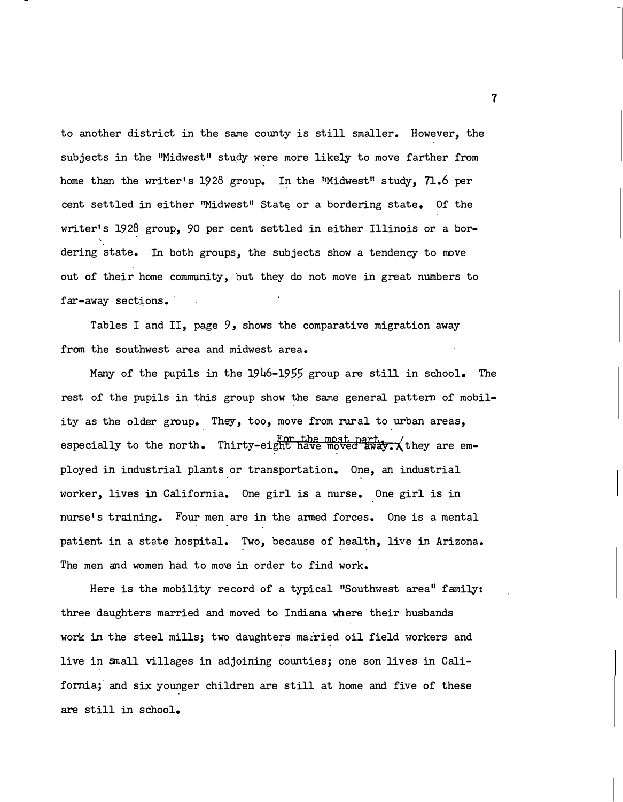to another district in the same county is still smaller. However, the subjects in the "Midwest" study were more likely to move farther from home than the writer's 1928 group. In the "Midwest" study, 71.6 per cent settled in either "Midwest" State or a bordering state. Of the writer's 1928 group, 90 per cent settled in either Illinois or a bordering state. In both groups, the subjects show a tendency to move out of their home community, but they do not move in great numbers to far-away sections.

Tables I and II, page 9, shows the comparative migration away from the southwest area and midwest area.

Many of the pupils in the 1946-1955 group are still in school. The rest of the pupils in this group show the same general pattern of mobility as the older group. They, too, move from rural to urban areas, especially to the north. Thirty-eight have moved away.  $\chi$  they are employed in industrial plants or transportation. One, an industrial worker, lives in California. One girl is a nurse. One girl is in nurse's training. Four men are in the anned forces. One is a mental patient in a state hospital. Two, because of health, live in Arizona. The men and women had to move in order to find work.

Here is the mobility record of a typical "Southwest area" family: three daughters married and moved to Indiana where their husbands work in the steel mills; two daughters married oil field workers and live in small villages in adjoining counties; one son lives in California; and six younger children are still at home and five of these are still in school.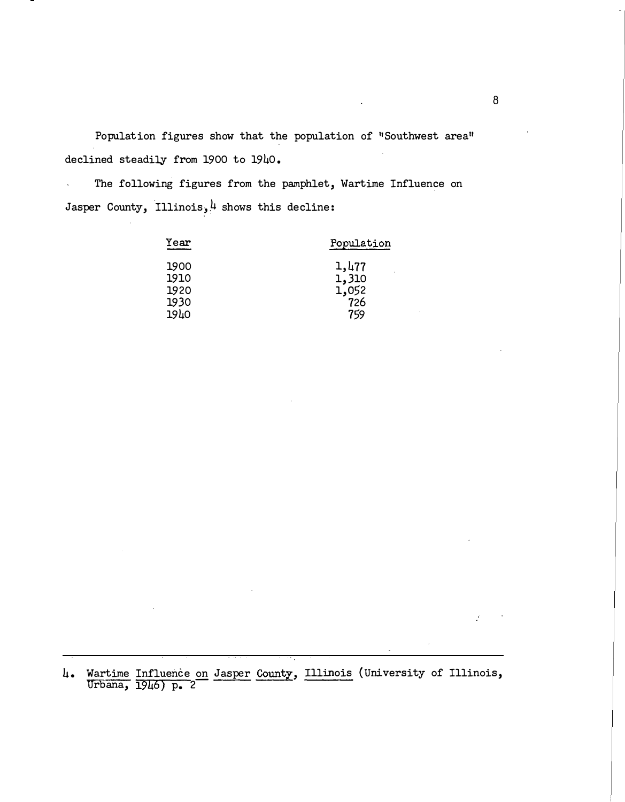Population figures show that the population of "Southwest area" declined steadily from 1900 to 1940.

The following figures from the pamphlet, Wartime Influence on  $\hat{\mathbf{v}}$ Jasper County, Illinois,  $\frac{1}{4}$  shows this decline:

| Year | Population |
|------|------------|
| 1900 | 1,477      |
| 1910 | 1,310      |
| 1920 | 1,052      |
| 1930 | 726        |
| 1940 | 759        |

4. Wartime Influence on Jasper County, Illinois (University of Illinois, Urbana, 1946) p. 2�

Y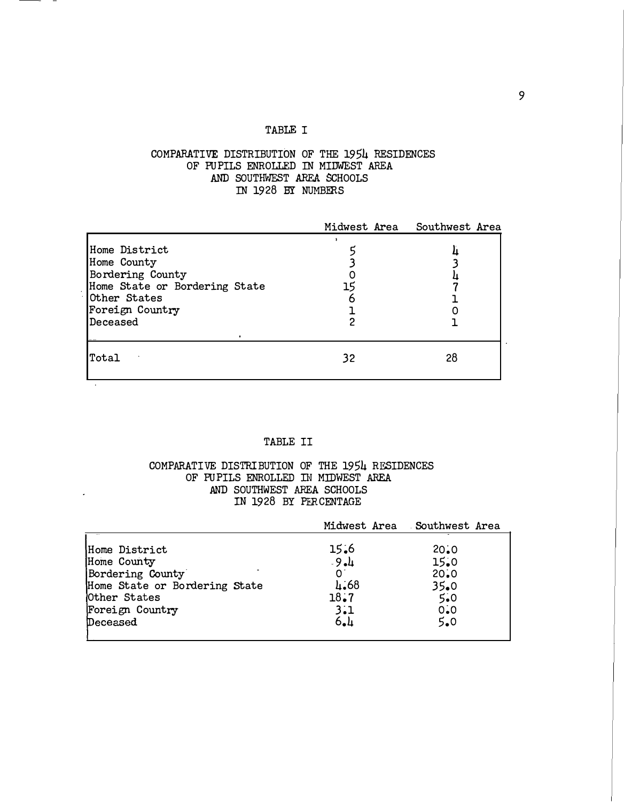### TABLE I

## COMPARATIVE DISTRIBUTION OF THE 1954 RESIDENCES OF PUPILS ENROLLED IN MIDWEST AREA AND SOUTHWEST AREA SCHOOLS IN 1928 BY NUMBERS

|                                                                                                                                  |    | Midwest Area Southwest Area |
|----------------------------------------------------------------------------------------------------------------------------------|----|-----------------------------|
| Home District<br>Home County<br>Bordering County<br>Home State or Bordering State<br>Other States<br>Foreign Country<br>Deceased |    |                             |
| Total                                                                                                                            | 32 | 28                          |

## TABLE II

## COMPARATIVE DISTRIBUTION OF THE 1954 RESIDENCES OF PUPILS ENROLLED IN MIDWEST AREA AND SOUTHWEST AREA SCHOOLS IN 1928 BY PERCENTAGE

|                                                                                                                                  |                                                | Midwest Area Southwest Area                       |
|----------------------------------------------------------------------------------------------------------------------------------|------------------------------------------------|---------------------------------------------------|
| Home District<br>Home County<br>Bordering County<br>Home State or Bordering State<br>Other States<br>Foreign Country<br>Deceased | 15.6<br>$-9 - 4$<br>4.68<br>18.7<br>3.1<br>6.1 | 20.0<br>15.0<br>20.0<br>35.0<br>5.0<br>0.0<br>5.0 |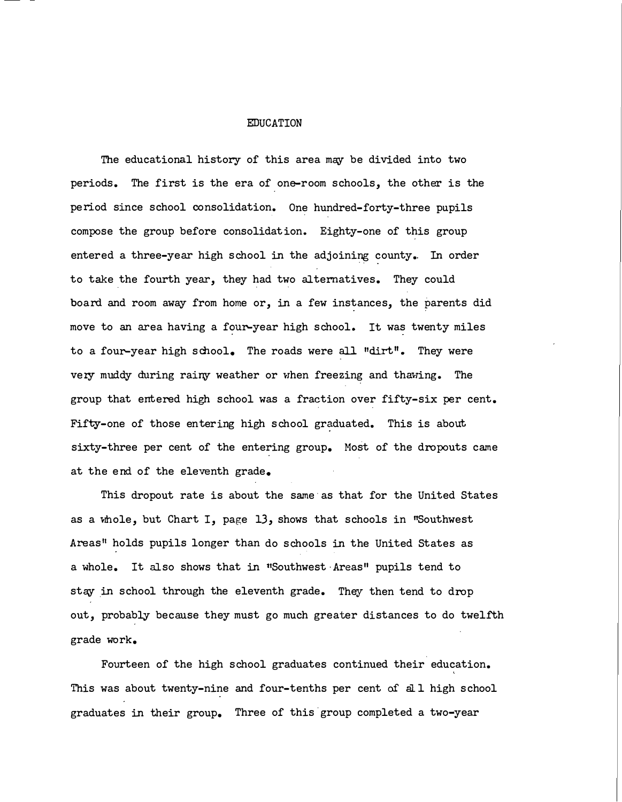#### EDUCATION

The educational history of this area may be divided into two periods. The first is the era of one-room schools, the other is the period since school consolidation. One hundred-forty-three pupils compose the group before consolidation. Eighty-one of this group entered a three-year high school in the adjoining county. In order to take the fourth year, they had two alternatives. They could board and room away from home or, in a few instances, the parents did move to an area having a four-year high school. It was twenty miles to a four-year high school. The roads were all "dirt". They were very muddy during rainy weather or when freezing and thawing. The group that entered high school was a fraction over fifty-six per cent. Fifty-one of those entering high school graduated. This is about sixty-three per cent of the entering group. Most of the dropouts came at the end of the eleventh grade.

This dropout rate is about the same as that for the United States as a whole, but Chart I, page 13, shows that schools in "Southwest Areas" holds pupils longer than do schools in the United States as a whole. It also shows that in "Southwest Areas" pupils tend to stay in school through the eleventh grade. They then tend to drop out, probably because they must go much greater distances to do twelfth grade work.

Fourteen of the high school graduates continued their education. This was about twenty-nine and four-tenths per cent of all high school graduates in their group. Three of this group completed a two-year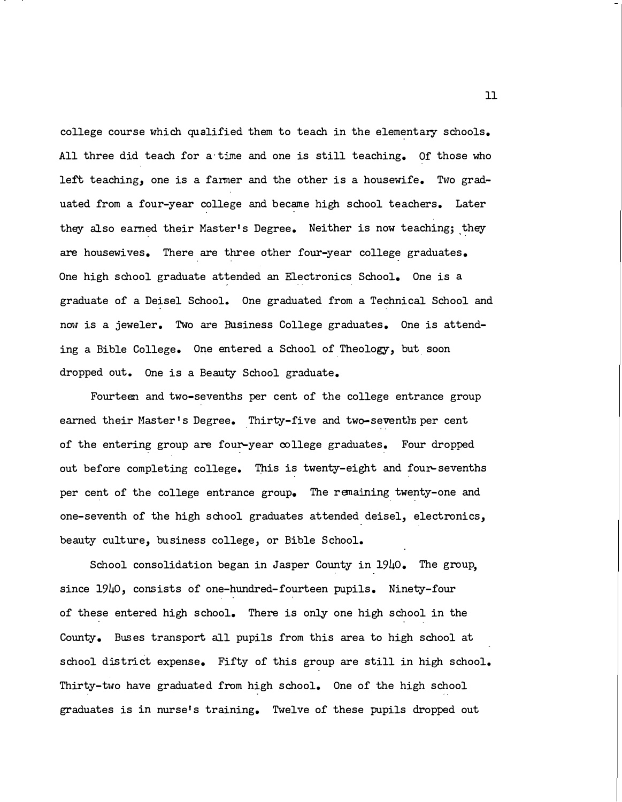college course which qualified them to teach in the elementary schools. All three did teach for a time and one is still teaching. Of those who left teaching, one is a farmer and the other is a housewife. Two graduated from a four-year college and became high school teachers. Later they also earned their Master's Degree. Neither is now teaching; they are housewives. There are three other four-year college graduates. One high school graduate attended an Electronics School. One is a graduate of a Deisel School. One graduated from a Technical School and now is a jeweler. Two are Business College graduates. One is attending a Bible College. One entered a School of Theology, but soon dropped out. One is a Beauty School graduate.

Fourteen and two-sevenths per cent of the college entrance group earned their Master's Degree. Thirty-five and two-sevenths per cent of the entering group are four-year college graduates. Four dropped out before completing college. This is twenty-eight and four-sevenths per cent of the college entrance group. The remaining twenty-one and one-seventh of the high school graduates attended deisel, electronics, beauty culture, business college, or Bible School.

School consolidation began in Jasper County in 1940. The group, since 1940, consists of one-hundred-fourteen pupils. Ninety-four of these entered high school. There is only one high school in the County. Buses transport all pupils from this area to high school at school district expense. Fifty of this group are still in high school. Thirty-two have graduated from high school. One of the high school graduates is in nurse's training. Twelve of these pupils dropped out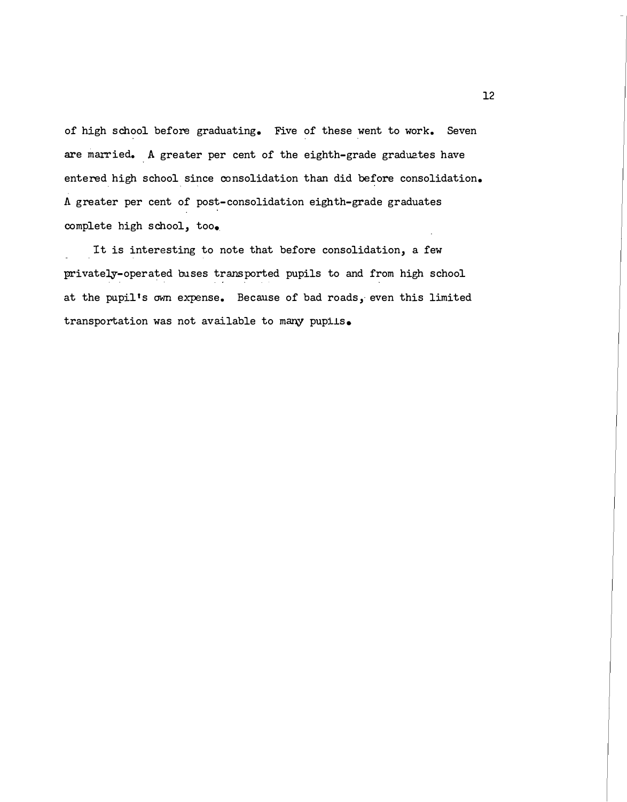of high school before graduating. Five of these went to work. Seven are married. A greater per cent of the eighth-grade graduates have entered high school since consolidation than did before consolidation. A greater per cent of post-consolidation eighth-grade graduates complete high school, too.

It is interesting to note that before consolidation, a few privately-operated buses transported pupils to and from high school at the pupil's own expense. Because of bad roads, even this limited  $transportion$  was not available to many pupils.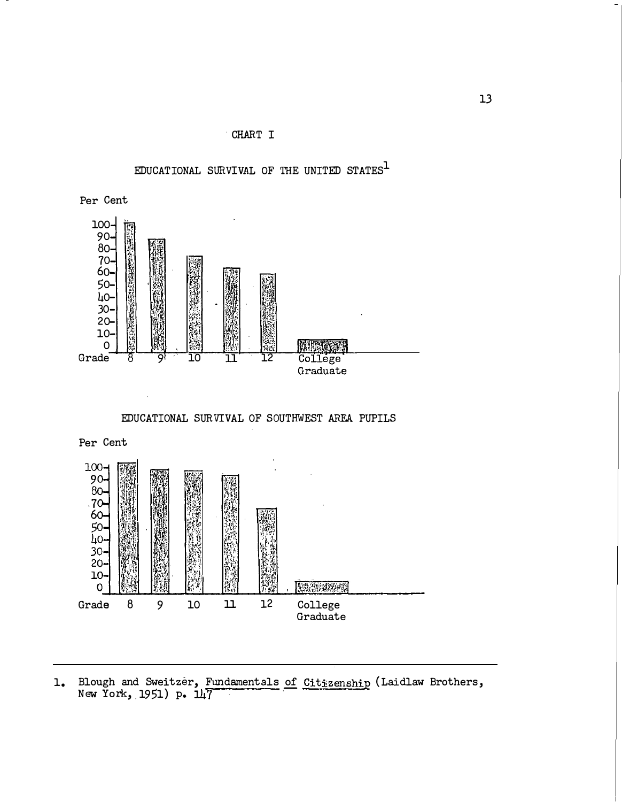

EDUCATIONAL SURVIVAL OF THE UNITED STATES $^1$ 



EDUCATIONAL SURVIVAL OF SOUTHWEST AREA PUPILS



Blough and Sweitzer, Fundamentals of Citizenship (Laidlaw Brothers, New York, 1951) p. 147  $1.$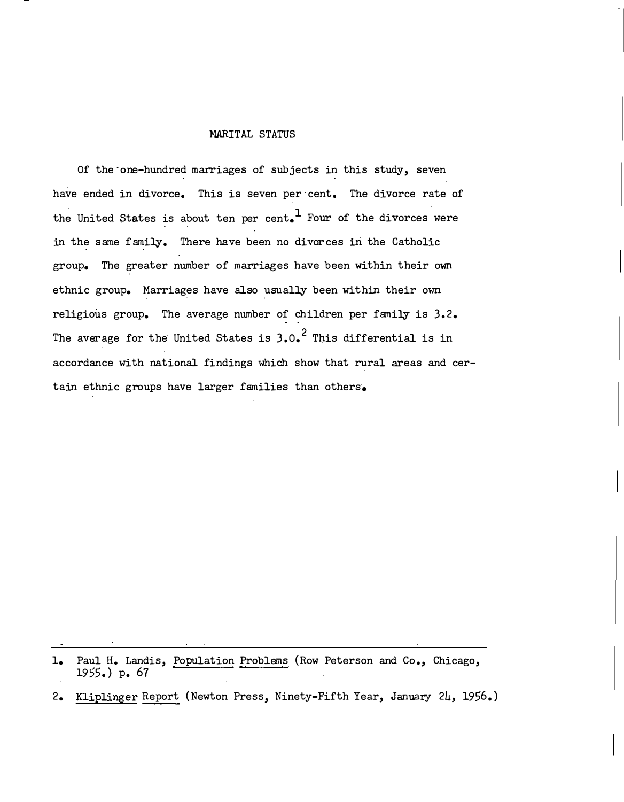#### MARITAL STATUS

Of the one-hundred marriages of subjects in this study, seven have ended in divorce. This is seven per cent. The divorce rate of the United States is about ten per cent.<sup>1</sup> Four of the divorces were in the same family. There have been no divorces in the Catholic group. The greater number of marriages have been within their own ethnic group. Marriages have also usually been within their own religious group. The average number of children per family is 3.2. The average for the United States is  $3.0$ .<sup>2</sup> This differential is in accordance with national findings which show that rural areas and certain ethnic groups have larger families than others.

<sup>1.</sup> Paul H. Landis, Population Problems (Row Peterson and Co., Chicago, 1955. ) p. 67

<sup>2.</sup> Kliplinger Report (Newton Press, Ninety-Fifth Year, January 24, 1956.)